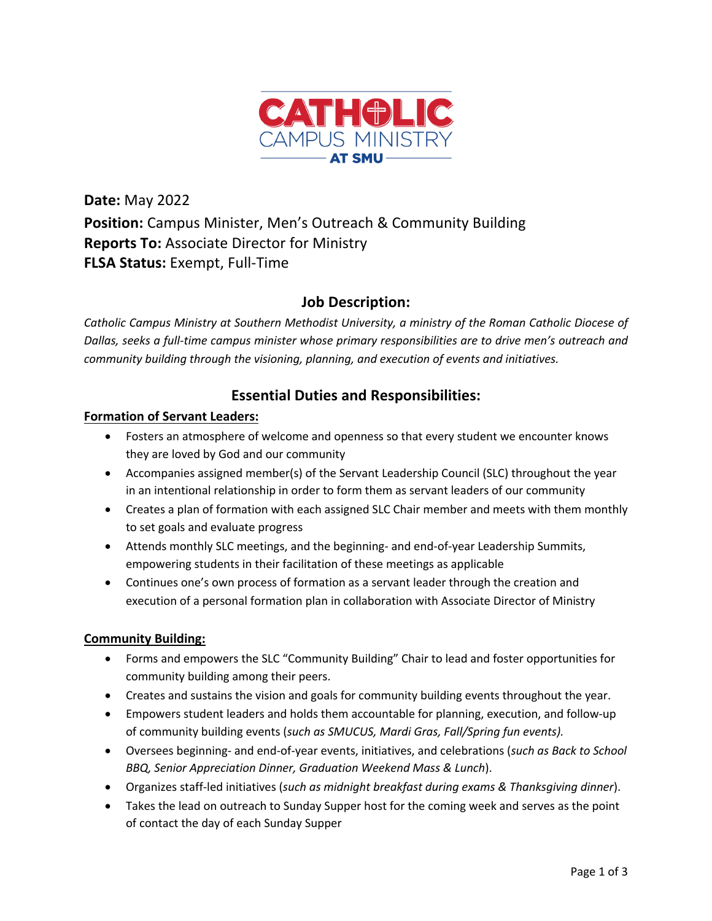

**Date:** May 2022 **Position:** Campus Minister, Men's Outreach & Community Building **Reports To:** Associate Director for Ministry **FLSA Status:** Exempt, Full-Time

# **Job Description:**

*Catholic Campus Ministry at Southern Methodist University, a ministry of the Roman Catholic Diocese of Dallas, seeks a full-time campus minister whose primary responsibilities are to drive men's outreach and community building through the visioning, planning, and execution of events and initiatives.*

# **Essential Duties and Responsibilities:**

## **Formation of Servant Leaders:**

- Fosters an atmosphere of welcome and openness so that every student we encounter knows they are loved by God and our community
- Accompanies assigned member(s) of the Servant Leadership Council (SLC) throughout the year in an intentional relationship in order to form them as servant leaders of our community
- Creates a plan of formation with each assigned SLC Chair member and meets with them monthly to set goals and evaluate progress
- Attends monthly SLC meetings, and the beginning- and end-of-year Leadership Summits, empowering students in their facilitation of these meetings as applicable
- Continues one's own process of formation as a servant leader through the creation and execution of a personal formation plan in collaboration with Associate Director of Ministry

## **Community Building:**

- Forms and empowers the SLC "Community Building" Chair to lead and foster opportunities for community building among their peers.
- Creates and sustains the vision and goals for community building events throughout the year.
- Empowers student leaders and holds them accountable for planning, execution, and follow-up of community building events (*such as SMUCUS, Mardi Gras, Fall/Spring fun events).*
- Oversees beginning- and end-of-year events, initiatives, and celebrations (*such as Back to School BBQ, Senior Appreciation Dinner, Graduation Weekend Mass & Lunch*).
- Organizes staff-led initiatives (*such as midnight breakfast during exams & Thanksgiving dinner*).
- Takes the lead on outreach to Sunday Supper host for the coming week and serves as the point of contact the day of each Sunday Supper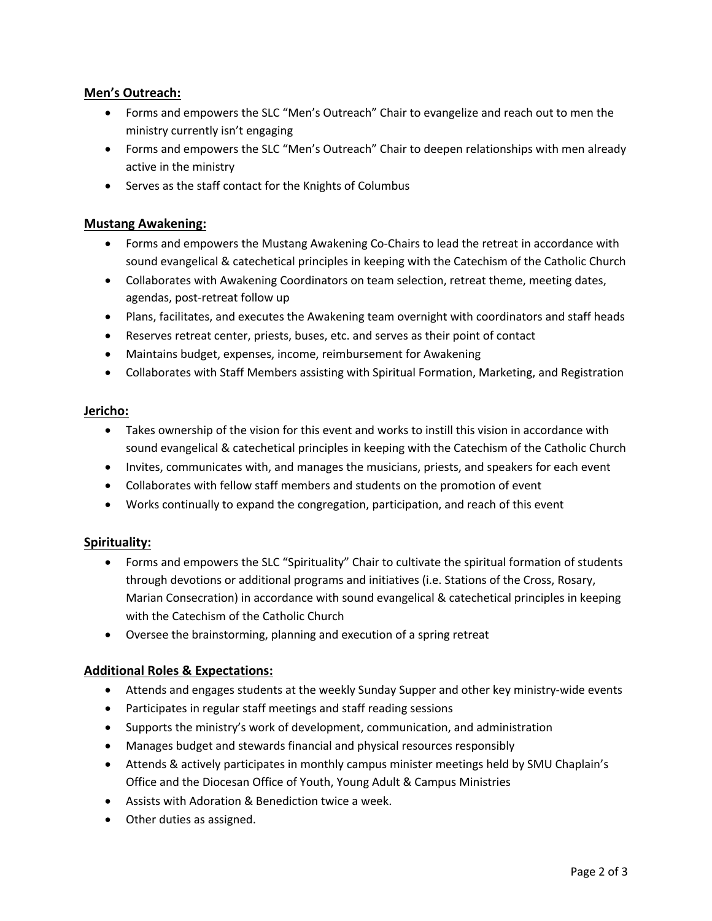## **Men's Outreach:**

- Forms and empowers the SLC "Men's Outreach" Chair to evangelize and reach out to men the ministry currently isn't engaging
- Forms and empowers the SLC "Men's Outreach" Chair to deepen relationships with men already active in the ministry
- Serves as the staff contact for the Knights of Columbus

### **Mustang Awakening:**

- Forms and empowers the Mustang Awakening Co-Chairs to lead the retreat in accordance with sound evangelical & catechetical principles in keeping with the Catechism of the Catholic Church
- Collaborates with Awakening Coordinators on team selection, retreat theme, meeting dates, agendas, post-retreat follow up
- Plans, facilitates, and executes the Awakening team overnight with coordinators and staff heads
- Reserves retreat center, priests, buses, etc. and serves as their point of contact
- Maintains budget, expenses, income, reimbursement for Awakening
- Collaborates with Staff Members assisting with Spiritual Formation, Marketing, and Registration

#### **Jericho:**

- Takes ownership of the vision for this event and works to instill this vision in accordance with sound evangelical & catechetical principles in keeping with the Catechism of the Catholic Church
- Invites, communicates with, and manages the musicians, priests, and speakers for each event
- Collaborates with fellow staff members and students on the promotion of event
- Works continually to expand the congregation, participation, and reach of this event

#### **Spirituality:**

- Forms and empowers the SLC "Spirituality" Chair to cultivate the spiritual formation of students through devotions or additional programs and initiatives (i.e. Stations of the Cross, Rosary, Marian Consecration) in accordance with sound evangelical & catechetical principles in keeping with the Catechism of the Catholic Church
- Oversee the brainstorming, planning and execution of a spring retreat

#### **Additional Roles & Expectations:**

- Attends and engages students at the weekly Sunday Supper and other key ministry-wide events
- Participates in regular staff meetings and staff reading sessions
- Supports the ministry's work of development, communication, and administration
- Manages budget and stewards financial and physical resources responsibly
- Attends & actively participates in monthly campus minister meetings held by SMU Chaplain's Office and the Diocesan Office of Youth, Young Adult & Campus Ministries
- Assists with Adoration & Benediction twice a week.
- Other duties as assigned.